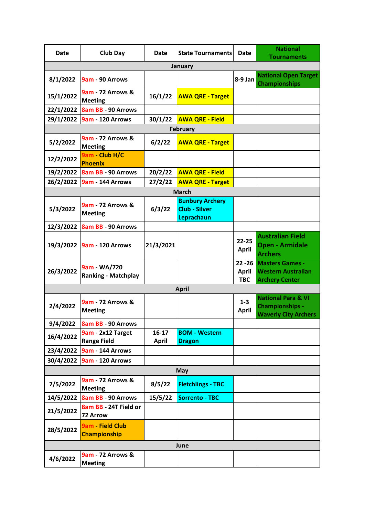| Date            | <b>Club Day</b>                                | Date                  | <b>State Tournaments</b>                                     | Date                       | <b>National</b><br><b>Tournaments</b>                                                  |  |  |
|-----------------|------------------------------------------------|-----------------------|--------------------------------------------------------------|----------------------------|----------------------------------------------------------------------------------------|--|--|
|                 |                                                |                       | January                                                      |                            |                                                                                        |  |  |
| 8/1/2022        | 9am - 90 Arrows                                |                       |                                                              | 8-9 Jan                    | <b>National Open Target</b><br><b>Championships</b>                                    |  |  |
| 15/1/2022       | <b>9am - 72 Arrows &amp;</b><br><b>Meeting</b> | 16/1/22               | <b>AWA QRE - Target</b>                                      |                            |                                                                                        |  |  |
| 22/1/2022       | 8am BB - 90 Arrows                             |                       |                                                              |                            |                                                                                        |  |  |
|                 | 29/1/2022 9am - 120 Arrows                     | 30/1/22               | <b>AWA QRE - Field</b>                                       |                            |                                                                                        |  |  |
| <b>February</b> |                                                |                       |                                                              |                            |                                                                                        |  |  |
| 5/2/2022        | 9am - 72 Arrows &<br><b>Meeting</b>            | 6/2/22                | <b>AWA QRE - Target</b>                                      |                            |                                                                                        |  |  |
| 12/2/2022       | 9am - Club H/C<br><b>Phoenix</b>               |                       |                                                              |                            |                                                                                        |  |  |
|                 | 19/2/2022 8am BB - 90 Arrows                   | 20/2/22               | <b>AWA QRE - Field</b>                                       |                            |                                                                                        |  |  |
|                 | 26/2/2022 9am - 144 Arrows                     | 27/2/22               | <b>AWA QRE - Target</b>                                      |                            |                                                                                        |  |  |
|                 |                                                |                       | <b>March</b>                                                 |                            |                                                                                        |  |  |
| 5/3/2022        | <b>9am - 72 Arrows &amp;</b><br><b>Meeting</b> | 6/3/22                | <b>Bunbury Archery</b><br><b>Club - Silver</b><br>Leprachaun |                            |                                                                                        |  |  |
| 12/3/2022       | 8am BB - 90 Arrows                             |                       |                                                              |                            |                                                                                        |  |  |
|                 | 19/3/2022   9am - 120 Arrows                   | 21/3/2021             |                                                              | $22 - 25$<br><b>April</b>  | <b>Australian Field</b><br><b>Open - Armidale</b><br><b>Archers</b>                    |  |  |
| 26/3/2022       | 9am - WA/720<br><b>Ranking - Matchplay</b>     |                       |                                                              | <b>April</b><br><b>TBC</b> | 22 - 26 Masters Games -<br><b>Western Australian</b><br><b>Archery Center</b>          |  |  |
|                 |                                                |                       | <b>April</b>                                                 |                            |                                                                                        |  |  |
| 2/4/2022        | 9am - 72 Arrows &<br><b>Meeting</b>            |                       |                                                              | $1 - 3$<br><b>April</b>    | <b>National Para &amp; VI</b><br><b>Championships -</b><br><b>Waverly City Archers</b> |  |  |
| 9/4/2022        | 8am BB - 90 Arrows                             |                       |                                                              |                            |                                                                                        |  |  |
| 16/4/2022       | 9am - 2x12 Target<br><b>Range Field</b>        | 16-17<br><b>April</b> | <b>BOM - Western</b><br><b>Dragon</b>                        |                            |                                                                                        |  |  |
|                 | 23/4/2022   9am - 144 Arrows                   |                       |                                                              |                            |                                                                                        |  |  |
|                 | 30/4/2022 9am - 120 Arrows                     |                       |                                                              |                            |                                                                                        |  |  |
| <b>May</b>      |                                                |                       |                                                              |                            |                                                                                        |  |  |
| 7/5/2022        | <b>9am - 72 Arrows &amp;</b><br><b>Meeting</b> | 8/5/22                | <b>Fletchlings - TBC</b>                                     |                            |                                                                                        |  |  |
| 14/5/2022       | 8am BB - 90 Arrows                             | 15/5/22               | <b>Sorrento - TBC</b>                                        |                            |                                                                                        |  |  |
| 21/5/2022       | 8am BB - 24T Field or<br><b>72 Arrow</b>       |                       |                                                              |                            |                                                                                        |  |  |
| 28/5/2022       | 9am - Field Club<br><b>Championship</b>        |                       |                                                              |                            |                                                                                        |  |  |
| June            |                                                |                       |                                                              |                            |                                                                                        |  |  |
| 4/6/2022        | 9am - 72 Arrows &<br><b>Meeting</b>            |                       |                                                              |                            |                                                                                        |  |  |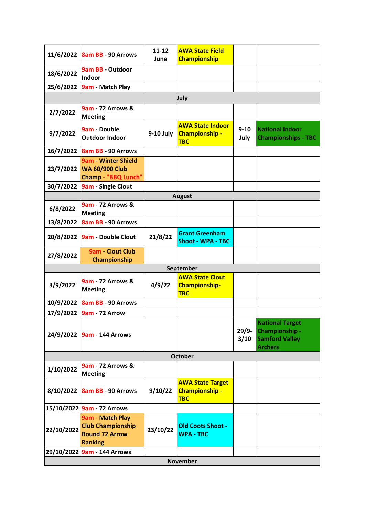|                 | 11/6/2022 8am BB - 90 Arrows                                                     | $11 - 12$<br>June | <b>AWA State Field</b><br><b>Championship</b>                  |                  |                                                                                     |  |  |
|-----------------|----------------------------------------------------------------------------------|-------------------|----------------------------------------------------------------|------------------|-------------------------------------------------------------------------------------|--|--|
| 18/6/2022       | 9am BB - Outdoor<br>Indoor                                                       |                   |                                                                |                  |                                                                                     |  |  |
|                 | 25/6/2022   9am - Match Play                                                     |                   |                                                                |                  |                                                                                     |  |  |
|                 |                                                                                  |                   | July                                                           |                  |                                                                                     |  |  |
| 2/7/2022        | 9am - 72 Arrows &<br><b>Meeting</b>                                              |                   |                                                                |                  |                                                                                     |  |  |
| 9/7/2022        | 9am Double<br><b>Outdoor Indoor</b>                                              | 9-10 July         | <b>AWA State Indoor</b><br><b>Championship -</b><br><b>TBC</b> | $9 - 10$<br>July | <b>National Indoor</b><br><b>Championships - TBC</b>                                |  |  |
|                 | 16/7/2022 8am BB - 90 Arrows                                                     |                   |                                                                |                  |                                                                                     |  |  |
|                 | 9am - Winter Shield<br>23/7/2022 WA 60/900 Club<br><b>Champ - "BBQ Lunch"</b>    |                   |                                                                |                  |                                                                                     |  |  |
|                 | 30/7/2022 9am - Single Clout                                                     |                   |                                                                |                  |                                                                                     |  |  |
|                 |                                                                                  |                   | <b>August</b>                                                  |                  |                                                                                     |  |  |
| 6/8/2022        | 9am - 72 Arrows &<br><b>Meeting</b>                                              |                   |                                                                |                  |                                                                                     |  |  |
| 13/8/2022       | 8am BB - 90 Arrows                                                               |                   |                                                                |                  |                                                                                     |  |  |
| 20/8/2022       | <b>9am - Double Clout</b>                                                        | 21/8/22           | <b>Grant Greenham</b><br><b>Shoot - WPA - TBC</b>              |                  |                                                                                     |  |  |
| 27/8/2022       | 9am - Clout Club<br>Championship                                                 |                   |                                                                |                  |                                                                                     |  |  |
| September       |                                                                                  |                   |                                                                |                  |                                                                                     |  |  |
| 3/9/2022        | 9am - 72 Arrows &<br><b>Meeting</b>                                              | 4/9/22            | <b>AWA State Clout</b><br><b>Championship-</b><br><b>TBC</b>   |                  |                                                                                     |  |  |
|                 | 10/9/2022   8am BB - 90 Arrows                                                   |                   |                                                                |                  |                                                                                     |  |  |
|                 | 17/9/2022 9am - 72 Arrow                                                         |                   |                                                                |                  |                                                                                     |  |  |
|                 | 24/9/2022 9am - 144 Arrows                                                       |                   |                                                                | $29/9-$<br>3/10  | <b>National Target</b><br>Championship -<br><b>Samford Valley</b><br><b>Archers</b> |  |  |
| <b>October</b>  |                                                                                  |                   |                                                                |                  |                                                                                     |  |  |
| 1/10/2022       | <b>9am - 72 Arrows &amp;</b><br><b>Meeting</b>                                   |                   |                                                                |                  |                                                                                     |  |  |
|                 | 8/10/2022 8am BB - 90 Arrows                                                     | 9/10/22           | <b>AWA State Target</b><br><b>Championship -</b><br><b>TBC</b> |                  |                                                                                     |  |  |
|                 | 15/10/2022 9am - 72 Arrows                                                       |                   |                                                                |                  |                                                                                     |  |  |
| 22/10/2022      | 9am - Match Play<br><b>Club Championship</b><br><b>Round 72 Arrow</b><br>Ranking | 23/10/22          | <b>Old Coots Shoot -</b><br><b>WPA - TBC</b>                   |                  |                                                                                     |  |  |
|                 | 29/10/2022 9am - 144 Arrows                                                      |                   |                                                                |                  |                                                                                     |  |  |
| <b>November</b> |                                                                                  |                   |                                                                |                  |                                                                                     |  |  |